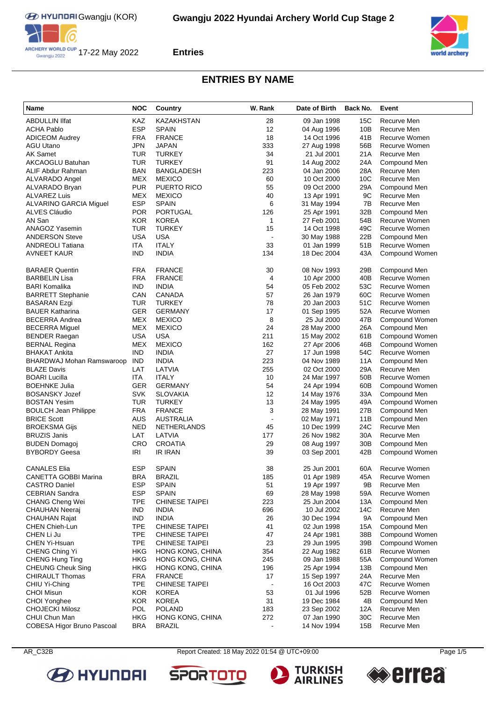



# **ENTRIES BY NAME**

| Name                                              | <b>NOC</b>               | Country                                | W. Rank              | Date of Birth              | Back No.        | Event                           |
|---------------------------------------------------|--------------------------|----------------------------------------|----------------------|----------------------------|-----------------|---------------------------------|
| <b>ABDULLIN IIfat</b>                             | KAZ                      | KAZAKHSTAN                             | 28                   | 09 Jan 1998                | <b>15C</b>      | Recurve Men                     |
| <b>ACHA Pablo</b>                                 | <b>ESP</b>               | <b>SPAIN</b>                           | 12                   | 04 Aug 1996                | 10B             | Recurve Men                     |
| ADICEOM Audrey                                    | <b>FRA</b>               | <b>FRANCE</b>                          | 18                   | 14 Oct 1996                | 41B             | Recurve Women                   |
| AGU Utano                                         | <b>JPN</b>               | <b>JAPAN</b>                           | 333                  | 27 Aug 1998                | 56B             | Recurve Women                   |
| AK Samet                                          | <b>TUR</b>               | <b>TURKEY</b>                          | 34                   | 21 Jul 2001                | 21A             | Recurve Men                     |
| AKCAOGLU Batuhan                                  | <b>TUR</b>               | <b>TURKEY</b>                          | 91                   | 14 Aug 2002                | 24A             | Compound Men                    |
| ALIF Abdur Rahman                                 | <b>BAN</b>               | <b>BANGLADESH</b>                      | 223                  | 04 Jan 2006                | 28A             | Recurve Men                     |
| ALVARADO Angel                                    | MEX                      | <b>MEXICO</b>                          | 60                   | 10 Oct 2000                | 10C             | Recurve Men                     |
| ALVARADO Bryan                                    | <b>PUR</b>               | <b>PUERTO RICO</b>                     | 55                   | 09 Oct 2000                | 29A             | Compound Men                    |
| ALVAREZ Luis                                      | MEX                      | <b>MEXICO</b>                          | 40                   | 13 Apr 1991                | 9C              | Recurve Men                     |
| ALVARINO GARCIA Miguel                            | <b>ESP</b>               | <b>SPAIN</b>                           | 6                    | 31 May 1994                | 7B              | Recurve Men                     |
| ALVES Cláudio                                     | <b>POR</b>               | <b>PORTUGAL</b>                        | 126                  | 25 Apr 1991                | 32B             | Compound Men                    |
| AN San                                            | <b>KOR</b>               | <b>KOREA</b>                           | 1                    | 27 Feb 2001                | 54B             | Recurve Women                   |
| <b>ANAGOZ Yasemin</b>                             | TUR                      | <b>TURKEY</b>                          | 15                   | 14 Oct 1998                | 49C             | Recurve Women                   |
| <b>ANDERSON Steve</b>                             | <b>USA</b>               | <b>USA</b>                             | ÷,                   | 30 May 1988                | 22B             | Compound Men                    |
| ANDREOLI Tatiana                                  | <b>ITA</b>               | <b>ITALY</b>                           | 33                   | 01 Jan 1999                | 51B             | Recurve Women                   |
| <b>AVNEET KAUR</b>                                | <b>IND</b>               | <b>INDIA</b>                           | 134                  | 18 Dec 2004                | 43A             | Compound Women                  |
| <b>BARAER Quentin</b>                             | <b>FRA</b>               | <b>FRANCE</b>                          | 30                   | 08 Nov 1993                | 29B             | Compound Men                    |
| BARBELIN Lisa                                     | <b>FRA</b>               | <b>FRANCE</b>                          | 4                    | 10 Apr 2000                | 40B             | Recurve Women                   |
| BARI Komalika                                     | IND.                     | <b>INDIA</b>                           | 54                   | 05 Feb 2002                | 53C             | Recurve Women                   |
| <b>BARRETT Stephanie</b>                          | CAN                      | CANADA                                 | 57                   | 26 Jan 1979                | 60C             | Recurve Women                   |
| BASARAN Ezgi                                      | TUR                      | <b>TURKEY</b>                          | 78                   | 20 Jan 2003                | 51C             | Recurve Women                   |
| <b>BAUER Katharina</b>                            | GER                      | <b>GERMANY</b>                         | 17                   | 01 Sep 1995                | 52A             | Recurve Women                   |
| <b>BECERRA Andrea</b>                             | MEX                      | <b>MEXICO</b>                          | 8                    | 25 Jul 2000                | 47B             | Compound Women                  |
| <b>BECERRA Miguel</b>                             | MEX                      | <b>MEXICO</b>                          | 24                   | 28 May 2000                | 26A             | Compound Men                    |
| <b>BENDER Raegan</b>                              | <b>USA</b>               | <b>USA</b>                             | 211                  | 15 May 2002                | 61B             | Compound Women                  |
| <b>BERNAL Regina</b>                              | MEX                      | <b>MEXICO</b>                          | 162                  | 27 Apr 2006                | 46B             | Compound Women                  |
| BHAKAT Ankita                                     | IND                      | <b>INDIA</b>                           | 27                   | 17 Jun 1998                | 54C             | Recurve Women                   |
| BHARDWAJ Mohan Ramswaroop                         | <b>IND</b>               | <b>INDIA</b>                           | 223                  | 04 Nov 1989                | 11A             | Compound Men                    |
| <b>BLAZE Davis</b>                                | LAT                      | LATVIA                                 | 255                  | 02 Oct 2000                | 29A             | Recurve Men                     |
| <b>BOARI Lucilla</b>                              | ITA                      | <b>ITALY</b>                           | 10                   | 24 Mar 1997                | 50 <sub>B</sub> | Recurve Women                   |
| BOEHNKE Julia                                     | GER                      | <b>GERMANY</b>                         | 54                   | 24 Apr 1994                | 60B             | Compound Women                  |
| BOSANSKY Jozef                                    | SVK                      | <b>SLOVAKIA</b><br><b>TURKEY</b>       | 12                   | 14 May 1976                | 33A             | Compound Men                    |
| <b>BOSTAN Yesim</b>                               | <b>TUR</b><br><b>FRA</b> | <b>FRANCE</b>                          | 13                   | 24 May 1995                | 49A<br>27B      | Compound Women                  |
| <b>BOULCH Jean Philippe</b><br><b>BRICE Scott</b> | <b>AUS</b>               | AUSTRALIA                              | 3<br>J.              | 28 May 1991<br>02 May 1971 | 11B             | Compound Men<br>Compound Men    |
| <b>BROEKSMA Gijs</b>                              | NED                      | NETHERLANDS                            | 45                   | 10 Dec 1999                | 24C             | Recurve Men                     |
| <b>BRUZIS Janis</b>                               | LAT                      | LATVIA                                 | 177                  | 26 Nov 1982                | 30A             | Recurve Men                     |
| BUDEN Domagoj                                     | <b>CRO</b>               | <b>CROATIA</b>                         | 29                   | 08 Aug 1997                | 30B             | Compound Men                    |
| BYBORDY Geesa                                     | IRI                      | <b>IR IRAN</b>                         | 39                   | 03 Sep 2001                | 42B             | Compound Women                  |
|                                                   |                          |                                        |                      |                            |                 |                                 |
| <b>CANALES Elia</b>                               | ESP                      | <b>SPAIN</b>                           | 38                   | 25 Jun 2001                | 60A             | Recurve Women                   |
| CANETTA GOBBI Marina                              | BRA                      | <b>BRAZIL</b>                          | 185                  | 01 Apr 1989                | 45A             | Recurve Women                   |
| CASTRO Daniel                                     | <b>ESP</b>               | <b>SPAIN</b>                           | 51                   | 19 Apr 1997                | 9B              | Recurve Men                     |
| CEBRIAN Sandra                                    | <b>ESP</b>               | <b>SPAIN</b>                           | 69                   | 28 May 1998                | 59A             | Recurve Women                   |
| CHANG Cheng Wei                                   | TPE                      | <b>CHINESE TAIPEI</b>                  | 223                  | 25 Jun 2004                | 13A             | Compound Men                    |
| CHAUHAN Neeraj                                    | <b>IND</b>               | <b>INDIA</b>                           | 696                  | 10 Jul 2002                | 14C             | Recurve Men                     |
| CHAUHAN Rajat                                     | <b>IND</b>               | <b>INDIA</b>                           | 26                   | 30 Dec 1994                | <b>9A</b>       | Compound Men                    |
| CHEN Chieh-Lun                                    | <b>TPE</b>               | <b>CHINESE TAIPEI</b>                  | 41                   | 02 Jun 1998                | 15A             | Compound Men                    |
| CHEN Li Ju                                        | <b>TPE</b>               | <b>CHINESE TAIPEI</b>                  | 47                   | 24 Apr 1981                | 38B             | Compound Women                  |
| CHEN Yi-Hsuan                                     | <b>TPE</b>               | <b>CHINESE TAIPEI</b>                  | 23                   | 29 Jun 1995                | 39B             | Compound Women                  |
| CHENG Ching Yi                                    | <b>HKG</b><br><b>HKG</b> | <b>HONG KONG, CHINA</b>                | 354<br>245           | 22 Aug 1982                | 61B<br>55A      | Recurve Women<br>Compound Women |
| CHENG Hung Ting<br><b>CHEUNG Cheuk Sing</b>       | <b>HKG</b>               | HONG KONG, CHINA<br>HONG KONG, CHINA   | 196                  | 09 Jan 1988<br>25 Apr 1994 | 13B             | Compound Men                    |
|                                                   |                          |                                        |                      |                            |                 |                                 |
| <b>CHIRAULT Thomas</b><br>CHIU Yi-Ching           | <b>FRA</b><br><b>TPE</b> | <b>FRANCE</b><br><b>CHINESE TAIPEI</b> | 17<br>$\blacksquare$ | 15 Sep 1997<br>16 Oct 2003 | 24A<br>47C      | Recurve Men<br>Recurve Women    |
| <b>CHOI Misun</b>                                 | <b>KOR</b>               | <b>KOREA</b>                           | 53                   | 01 Jul 1996                | 52B             | Recurve Women                   |
| <b>CHOI Yonghee</b>                               | <b>KOR</b>               | <b>KOREA</b>                           | 31                   | 19 Dec 1984                | 4B              | Compound Men                    |
| <b>CHOJECKI Milosz</b>                            | POL                      | <b>POLAND</b>                          | 183                  | 23 Sep 2002                | 12A             | Recurve Men                     |
| CHUI Chun Man                                     | <b>HKG</b>               | HONG KONG, CHINA                       | 272                  | 07 Jan 1990                | 30C             | Recurve Men                     |
| COBESA Higor Bruno Pascoal                        | <b>BRA</b>               | <b>BRAZIL</b>                          |                      | 14 Nov 1994                | 15B             | Recurve Men                     |



AR\_C32B Report Created: 18 May 2022 01:54 @ UTC+09:00

**SPORTO** 



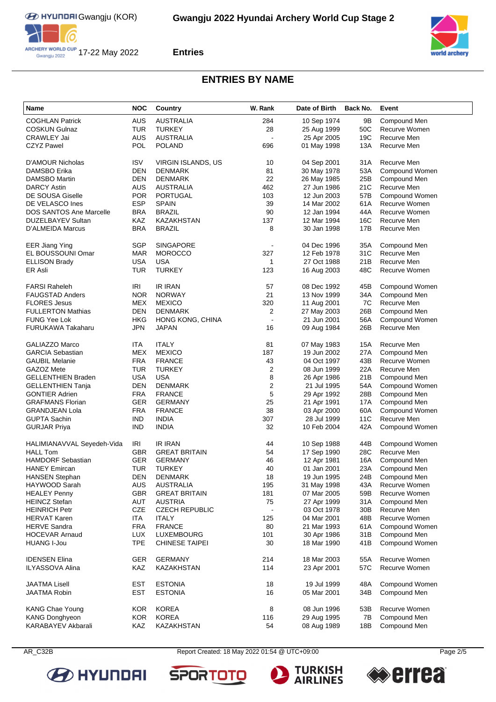



# **ENTRIES BY NAME**

| <b>Name</b>                    | <b>NOC</b> | Country                   | W. Rank          | Date of Birth | Back No.        | Event          |
|--------------------------------|------------|---------------------------|------------------|---------------|-----------------|----------------|
| <b>COGHLAN Patrick</b>         | <b>AUS</b> | <b>AUSTRALIA</b>          | 284              | 10 Sep 1974   | 9Β              | Compound Men   |
| <b>COSKUN Gulnaz</b>           | <b>TUR</b> | <b>TURKEY</b>             | 28               | 25 Aug 1999   | 50C             | Recurve Women  |
| <b>CRAWLEY Jai</b>             | <b>AUS</b> | <b>AUSTRALIA</b>          |                  | 25 Apr 2005   | 19C             | Recurve Men    |
| <b>CZYZ Pawel</b>              | <b>POL</b> | <b>POLAND</b>             | 696              | 01 May 1998   | 13A             | Recurve Men    |
|                                |            |                           |                  |               |                 |                |
| <b>D'AMOUR Nicholas</b>        | <b>ISV</b> | <b>VIRGIN ISLANDS, US</b> | 10               | 04 Sep 2001   | 31A             | Recurve Men    |
| DAMSBO Erika                   | DEN        | <b>DENMARK</b>            | 81               | 30 May 1978   | 53A             | Compound Women |
| <b>DAMSBO Martin</b>           | DEN        | <b>DENMARK</b>            | 22               | 26 May 1985   | 25B             | Compound Men   |
| <b>DARCY Astin</b>             | <b>AUS</b> | <b>AUSTRALIA</b>          | 462              | 27 Jun 1986   | 21C             | Recurve Men    |
| <b>DE SOUSA Giselle</b>        | <b>POR</b> | <b>PORTUGAL</b>           | 103              | 12 Jun 2003   | 57B             | Compound Women |
| DE VELASCO Ines                | <b>ESP</b> | <b>SPAIN</b>              | 39               | 14 Mar 2002   | 61A             | Recurve Women  |
| <b>DOS SANTOS Ane Marcelle</b> | <b>BRA</b> | <b>BRAZIL</b>             | 90               | 12 Jan 1994   | 44A             | Recurve Women  |
| DUZELBAYEV Sultan              | KAZ        | <b>KAZAKHSTAN</b>         | 137              | 12 Mar 1994   | 16C             | Recurve Men    |
| D'ALMEIDA Marcus               | <b>BRA</b> | <b>BRAZIL</b>             | 8                | 30 Jan 1998   | 17B             | Recurve Men    |
|                                |            |                           |                  |               |                 |                |
| <b>EER Jiang Ying</b>          | SGP        | <b>SINGAPORE</b>          |                  | 04 Dec 1996   | 35A             | Compound Men   |
| EL BOUSSOUNI Omar              | <b>MAR</b> | <b>MOROCCO</b>            | 327              | 12 Feb 1978   | 31C             | Recurve Men    |
| <b>ELLISON Brady</b>           | <b>USA</b> | <b>USA</b>                | 1                | 27 Oct 1988   | 21B             | Recurve Men    |
| ER Asli                        | <b>TUR</b> | <b>TURKEY</b>             | 123              | 16 Aug 2003   | 48C             | Recurve Women  |
|                                |            |                           |                  |               |                 |                |
| <b>FARSI Raheleh</b>           | <b>IRI</b> | <b>IR IRAN</b>            | 57               | 08 Dec 1992   | 45B             | Compound Women |
| <b>FAUGSTAD Anders</b>         | <b>NOR</b> | <b>NORWAY</b>             | 21               | 13 Nov 1999   | 34A             | Compound Men   |
| <b>FLORES Jesus</b>            | MEX        | <b>MEXICO</b>             | 320              | 11 Aug 2001   | 7C              | Recurve Men    |
| <b>FULLERTON Mathias</b>       | <b>DEN</b> | <b>DENMARK</b>            | 2                | 27 May 2003   | 26B             | Compound Men   |
| <b>FUNG Yee Lok</b>            | HKG        | HONG KONG, CHINA          | L.               | 21 Jun 2001   | 56A             | Compound Women |
| FURUKAWA Takaharu              | <b>JPN</b> | <b>JAPAN</b>              | 16               | 09 Aug 1984   | 26B             | Recurve Men    |
| <b>GALIAZZO Marco</b>          | ITA        | <b>ITALY</b>              | 81               | 07 May 1983   | 15A             | Recurve Men    |
| <b>GARCIA Sebastian</b>        | MEX        | <b>MEXICO</b>             | 187              | 19 Jun 2002   | 27A             | Compound Men   |
| <b>GAUBIL Melanie</b>          | <b>FRA</b> | <b>FRANCE</b>             | 43               | 04 Oct 1997   | 43B             | Recurve Women  |
| GAZOZ Mete                     | <b>TUR</b> | <b>TURKEY</b>             | $\overline{c}$   | 08 Jun 1999   | 22A             | Recurve Men    |
| <b>GELLENTHIEN Braden</b>      | <b>USA</b> | <b>USA</b>                | 8                | 26 Apr 1986   | 21B             | Compound Men   |
| <b>GELLENTHIEN Tanja</b>       | DEN        | <b>DENMARK</b>            | $\boldsymbol{2}$ | 21 Jul 1995   | 54A             | Compound Women |
| <b>GONTIER Adrien</b>          | <b>FRA</b> | <b>FRANCE</b>             | $\mathbf 5$      | 29 Apr 1992   | 28B             | Compound Men   |
| <b>GRAFMANS Florian</b>        | <b>GER</b> | <b>GERMANY</b>            | 25               | 21 Apr 1991   | 17A             | Compound Men   |
| <b>GRANDJEAN Lola</b>          | <b>FRA</b> | <b>FRANCE</b>             | 38               | 03 Apr 2000   | 60A             | Compound Women |
| <b>GUPTA Sachin</b>            | IND        | <b>INDIA</b>              | 307              | 28 Jul 1999   | 11C             | Recurve Men    |
| <b>GURJAR Priya</b>            | <b>IND</b> | <b>INDIA</b>              | 32               | 10 Feb 2004   | 42A             | Compound Women |
|                                |            |                           |                  |               |                 |                |
| HALIMIANAVVAL Seyedeh-Vida     | <b>IRI</b> | <b>IR IRAN</b>            | 44               | 10 Sep 1988   | 44B             | Compound Women |
| <b>HALL Tom</b>                | GBR        | <b>GREAT BRITAIN</b>      | 54               | 17 Sep 1990   | 28C             | Recurve Men    |
| <b>HAMDORF Sebastian</b>       | GER        | <b>GERMANY</b>            | 46               | 12 Apr 1981   | 16A             | Compound Men   |
| <b>HANEY Emircan</b>           | TUR        | <b>TURKEY</b>             | 40               | 01 Jan 2001   | 23A             | Compound Men   |
| HANSEN Stephan                 | DEN        | <b>DENMARK</b>            | 18               | 19 Jun 1995   | 24B             | Compound Men   |
| HAYWOOD Sarah                  | <b>AUS</b> | <b>AUSTRALIA</b>          | 195              | 31 May 1998   | 43A             | Recurve Women  |
| <b>HEALEY Penny</b>            | <b>GBR</b> | <b>GREAT BRITAIN</b>      | 181              | 07 Mar 2005   | 59B             | Recurve Women  |
| <b>HEINCZ Stefan</b>           | AUT        | <b>AUSTRIA</b>            | 75               | 27 Apr 1999   | 31A             | Compound Men   |
| <b>HEINRICH Petr</b>           | CZE        | <b>CZECH REPUBLIC</b>     |                  | 03 Oct 1978   | 30 <sub>B</sub> | Recurve Men    |
| <b>HERVAT Karen</b>            | <b>ITA</b> | <b>ITALY</b>              | 125              | 04 Mar 2001   | 48B             | Recurve Women  |
| <b>HERVE Sandra</b>            | <b>FRA</b> | <b>FRANCE</b>             | 80               | 21 Mar 1993   | 61A             | Compound Women |
| <b>HOCEVAR Arnaud</b>          | <b>LUX</b> | <b>LUXEMBOURG</b>         | 101              | 30 Apr 1986   | 31B             | Compound Men   |
| <b>HUANG I-Jou</b>             | <b>TPE</b> | <b>CHINESE TAIPEI</b>     | 30               | 18 Mar 1990   | 41B             | Compound Women |
| <b>IDENSEN Elina</b>           | GER        | <b>GERMANY</b>            | 214              | 18 Mar 2003   | 55A             | Recurve Women  |
| <b>ILYASSOVA Alina</b>         | KAZ        | KAZAKHSTAN                | 114              | 23 Apr 2001   | 57C             | Recurve Women  |
|                                |            |                           |                  |               |                 |                |
| <b>JAATMA Lisell</b>           | <b>EST</b> | <b>ESTONIA</b>            | 18               | 19 Jul 1999   | 48A             | Compound Women |
| <b>JAATMA Robin</b>            | <b>EST</b> | <b>ESTONIA</b>            | 16               | 05 Mar 2001   | 34B             | Compound Men   |
| <b>KANG Chae Young</b>         | <b>KOR</b> | <b>KOREA</b>              | 8                | 08 Jun 1996   | 53B             | Recurve Women  |
| <b>KANG Donghyeon</b>          | <b>KOR</b> | <b>KOREA</b>              | 116              | 29 Aug 1995   | 7B              | Compound Men   |
| KARABAYEV Akbarali             | KAZ        | KAZAKHSTAN                | 54               | 08 Aug 1989   | 18B             | Compound Men   |



AR\_C32B Report Created: 18 May 2022 01:54 @ UTC+09:00 Page 2/5

**SPORT** 





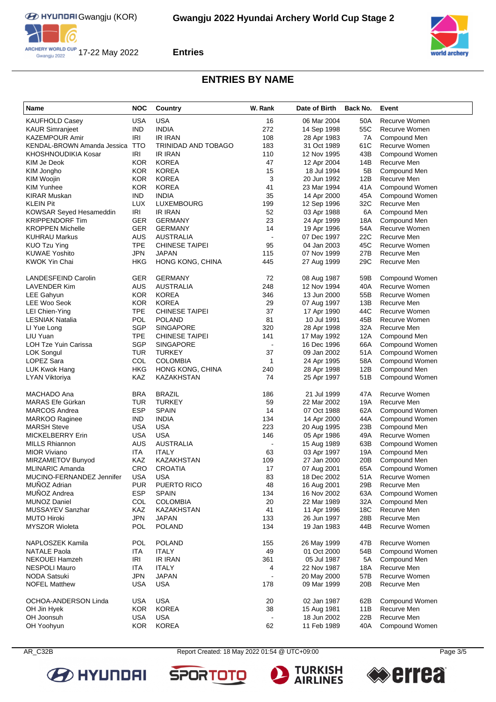



## **ENTRIES BY NAME**

| Name                           | <b>NOC</b> | Country                    | W. Rank      | Date of Birth | Back No.        | Event                 |
|--------------------------------|------------|----------------------------|--------------|---------------|-----------------|-----------------------|
| KAUFHOLD Casey                 | <b>USA</b> | <b>USA</b>                 | 16           | 06 Mar 2004   | 50A             | Recurve Women         |
| <b>KAUR Simranjeet</b>         | <b>IND</b> | <b>INDIA</b>               | 272          | 14 Sep 1998   | 55C             | Recurve Women         |
| KAZEMPOUR Amir                 | IRI        | IR IRAN                    | 108          | 28 Apr 1983   | 7A              | Compound Men          |
| KENDAL-BROWN Amanda Jessica    | <b>TTO</b> | <b>TRINIDAD AND TOBAGO</b> | 183          | 31 Oct 1989   | 61C             | Recurve Women         |
| KHOSHNOUDIKIA Kosar            | IRI        | <b>IR IRAN</b>             | 110          | 12 Nov 1995   | 43B             | Compound Women        |
| KIM Je Deok                    | <b>KOR</b> | <b>KOREA</b>               | 47           | 12 Apr 2004   | 14B             | Recurve Men           |
| KIM Jongho                     | KOR.       | <b>KOREA</b>               | 15           | 18 Jul 1994   | 5B              | Compound Men          |
| KIM Woojin                     | KOR        | <b>KOREA</b>               | 3            | 20 Jun 1992   | 12B             | Recurve Men           |
| KIM Yunhee                     | <b>KOR</b> | <b>KOREA</b>               | 41           | 23 Mar 1994   | 41A             | Compound Women        |
| <b>KIRAR Muskan</b>            | <b>IND</b> | <b>INDIA</b>               | 35           | 14 Apr 2000   | 45A             | Compound Women        |
| <b>KLEIN Pit</b>               | <b>LUX</b> | LUXEMBOURG                 | 199          | 12 Sep 1996   | 32C             | Recurve Men           |
| <b>KOWSAR Seyed Hesameddin</b> | <b>IRI</b> | IR IRAN                    | 52           | 03 Apr 1988   | 6A              | Compound Men          |
| <b>KRIPPENDORF Tim</b>         | <b>GER</b> | <b>GERMANY</b>             | 23           | 24 Apr 1999   | 18A             | Compound Men          |
| <b>KROPPEN Michelle</b>        | GER        | <b>GERMANY</b>             | 14           | 19 Apr 1996   | 54A             | Recurve Women         |
| KUHRAU Markus                  | <b>AUS</b> | AUSTRALIA                  | ÷,           | 07 Dec 1997   | 22C             | Recurve Men           |
| KUO Tzu Ying                   | <b>TPE</b> | <b>CHINESE TAIPEI</b>      | 95           | 04 Jan 2003   | 45C             | Recurve Women         |
| <b>KUWAE Yoshito</b>           | <b>JPN</b> | <b>JAPAN</b>               | 115          | 07 Nov 1999   | 27B             | Recurve Men           |
| KWOK Yin Chai                  | <b>HKG</b> | HONG KONG, CHINA           | 445          | 27 Aug 1999   | 29C             | Recurve Men           |
|                                |            |                            |              |               |                 |                       |
| LANDESFEIND Carolin            | GER        | <b>GERMANY</b>             | 72           | 08 Aug 1987   | 59B             | Compound Women        |
| LAVENDER Kim                   | AUS        | <b>AUSTRALIA</b>           | 248          | 12 Nov 1994   | 40A             | Recurve Women         |
| LEE Gahyun                     | <b>KOR</b> | <b>KOREA</b>               | 346          | 13 Jun 2000   | 55B             | Recurve Women         |
| LEE Woo Seok                   | KOR.       | <b>KOREA</b>               | 29           | 07 Aug 1997   | 13B             | Recurve Men           |
| LEI Chien-Ying                 | TPE        | <b>CHINESE TAIPEI</b>      | 37           | 17 Apr 1990   | 44C             | Recurve Women         |
| <b>LESNIAK Natalia</b>         | POL        | <b>POLAND</b>              | 81           | 10 Jul 1991   | 45B             | Recurve Women         |
| LI Yue Long                    | SGP        | <b>SINGAPORE</b>           | 320          | 28 Apr 1998   | 32A             | Recurve Men           |
| LIU Yuan                       | TPE        | <b>CHINESE TAIPEI</b>      | 141          | 17 May 1992   | 12A             | Compound Men          |
| LOH Tze Yuin Carissa           | SGP        | <b>SINGAPORE</b>           |              | 16 Dec 1996   | 66A             | Compound Women        |
| LOK Songul                     | <b>TUR</b> | <b>TURKEY</b>              | 37           | 09 Jan 2002   | 51A             | Compound Women        |
| LOPEZ Sara                     | COL        | <b>COLOMBIA</b>            | $\mathbf{1}$ | 24 Apr 1995   | 58A             | Compound Women        |
| LUK Kwok Hang                  | <b>HKG</b> | HONG KONG, CHINA           | 240          | 28 Apr 1998   | 12B             | Compound Men          |
| <b>LYAN Viktoriya</b>          | KAZ        | KAZAKHSTAN                 | 74           | 25 Apr 1997   | 51B             | Compound Women        |
|                                |            |                            |              |               |                 |                       |
| MACHADO Ana                    | <b>BRA</b> | <b>BRAZIL</b>              | 186          | 21 Jul 1999   | 47A             | Recurve Women         |
| MARAS Efe Gürkan               | TUR        | <b>TURKEY</b>              | 59           | 22 Mar 2002   | 19A             | Recurve Men           |
| <b>MARCOS Andrea</b>           | <b>ESP</b> | <b>SPAIN</b>               | 14           | 07 Oct 1988   | 62A             | Compound Women        |
| <b>MARKOO Raginee</b>          | IND.       | <b>INDIA</b>               | 134          | 14 Apr 2000   | 44A             | Compound Women        |
| <b>MARSH Steve</b>             | USA        | USA                        | 223          | 20 Aug 1995   | 23B             | Compound Men          |
| <b>MICKELBERRY Erin</b>        | <b>USA</b> | <b>USA</b>                 | 146          | 05 Apr 1986   | 49A             | Recurve Women         |
| <b>MILLS Rhiannon</b>          | <b>AUS</b> | <b>AUSTRALIA</b>           |              | 15 Aug 1989   | 63B             | Compound Women        |
| <b>MIOR Viviano</b>            | <b>ITA</b> | <b>ITALY</b>               | 63           | 03 Apr 1997   | 19A             | Compound Men          |
| MIRZAMETOV Bunyod              | KAZ        | <b>KAZAKHSTAN</b>          | 109          | 27 Jan 2000   | 20 <sub>B</sub> | Compound Men          |
| <b>MLINARIC Amanda</b>         | CRO        | <b>CROATIA</b>             | 17           | 07 Aug 2001   | 65A             | Compound Women        |
| MUCINO-FERNANDEZ Jennifer      | USA        | <b>USA</b>                 |              | 18 Dec 2002   | 51A             | Recurve Women         |
| MUNOZ Adrian                   | <b>PUR</b> | PUERTO RICO                | 83<br>48     | 16 Aug 2001   | 29B             | Recurve Men           |
| MUÑOZ Andrea                   | <b>ESP</b> | <b>SPAIN</b>               | 134          | 16 Nov 2002   | 63A             | <b>Compound Women</b> |
|                                |            |                            |              |               |                 |                       |
| <b>MUNOZ Daniel</b>            | COL<br>KAZ | <b>COLOMBIA</b>            | 20           | 22 Mar 1989   | 32A             | Compound Men          |
| MUSSAYEV Sanzhar               |            | KAZAKHSTAN                 | 41           | 11 Apr 1996   | 18C             | Recurve Men           |
| <b>MUTO Hiroki</b>             | <b>JPN</b> | <b>JAPAN</b>               | 133          | 26 Jun 1997   | 28B             | Recurve Men           |
| <b>MYSZOR Wioleta</b>          | POL        | <b>POLAND</b>              | 134          | 19 Jan 1983   | 44B             | Recurve Women         |
| NAPLOSZEK Kamila               | POL        | <b>POLAND</b>              | 155          | 26 May 1999   | 47B             | Recurve Women         |
| <b>NATALE Paola</b>            | <b>ITA</b> | <b>ITALY</b>               | 49           | 01 Oct 2000   | 54B             | Compound Women        |
| <b>NEKOUEI Hamzeh</b>          | IRI        | <b>IR IRAN</b>             | 361          | 05 Jul 1987   | 5A              | Compound Men          |
| <b>NESPOLI Mauro</b>           | <b>ITA</b> | <b>ITALY</b>               | 4            | 22 Nov 1987   | 18A             | Recurve Men           |
| <b>NODA Satsuki</b>            | <b>JPN</b> | <b>JAPAN</b>               |              | 20 May 2000   | 57B             | Recurve Women         |
| <b>NOFEL Matthew</b>           | <b>USA</b> | <b>USA</b>                 | 178          | 09 Mar 1999   | 20B             | Recurve Men           |
| OCHOA-ANDERSON Linda           | USA        | <b>USA</b>                 | 20           | 02 Jan 1987   | 62B             | Compound Women        |
| OH Jin Hyek                    | <b>KOR</b> | <b>KOREA</b>               | 38           | 15 Aug 1981   | 11B             | Recurve Men           |
| OH Joonsuh                     | USA        | USA                        |              | 18 Jun 2002   | 22B             | Recurve Men           |
| OH Yoohyun                     | <b>KOR</b> | <b>KOREA</b>               | 62           | 11 Feb 1989   | 40A             | Compound Women        |





AR\_C32B Report Created: 18 May 2022 01:54 @ UTC+09:00

**SPORTO** 



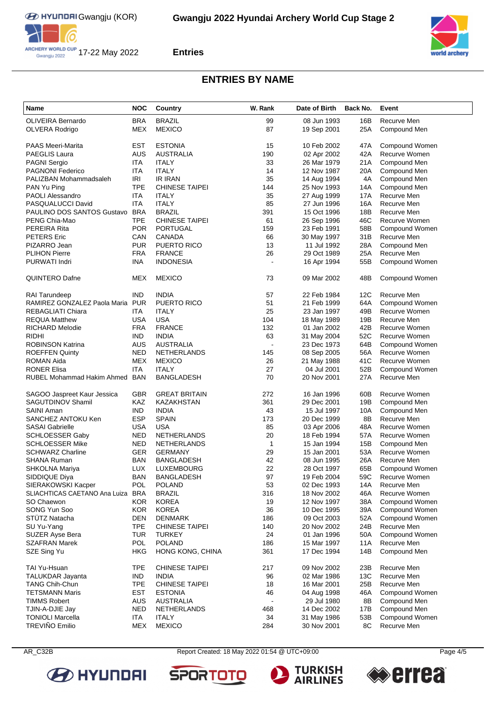



### **ENTRIES BY NAME**

| Name                          | <b>NOC</b> | Country               | W. Rank        | Date of Birth | Back No. | Event          |
|-------------------------------|------------|-----------------------|----------------|---------------|----------|----------------|
| <b>OLIVEIRA Bernardo</b>      | <b>BRA</b> | <b>BRAZIL</b>         | 99             | 08 Jun 1993   | 16B      | Recurve Men    |
| OLVERA Rodrigo                | MEX        | <b>MEXICO</b>         | 87             | 19 Sep 2001   | 25A      | Compound Men   |
|                               |            |                       |                |               |          |                |
| <b>PAAS Meeri-Marita</b>      | EST        | <b>ESTONIA</b>        | 15             | 10 Feb 2002   | 47A      | Compound Women |
| <b>PAEGLIS Laura</b>          | <b>AUS</b> | <b>AUSTRALIA</b>      | 190            | 02 Apr 2002   | 42A      | Recurve Women  |
| <b>PAGNI Sergio</b>           | ITA        | <b>ITALY</b>          | 33             | 26 Mar 1979   | 21A      | Compound Men   |
| <b>PAGNONI Federico</b>       | ITA        | <b>ITALY</b>          | 14             | 12 Nov 1987   | 20A      | Compound Men   |
| PALIZBAN Mohammadsaleh        | IRI        | <b>IR IRAN</b>        | 35             | 14 Aug 1994   | 4A       | Compound Men   |
| PAN Yu Ping                   | <b>TPE</b> | <b>CHINESE TAIPEI</b> | 144            | 25 Nov 1993   | 14A      | Compound Men   |
| <b>PAOLI Alessandro</b>       | <b>ITA</b> | <b>ITALY</b>          | 35             | 27 Aug 1999   | 17A      | Recurve Men    |
| PASQUALUCCI David             | <b>ITA</b> | <b>ITALY</b>          | 85             | 27 Jun 1996   | 16A      | Recurve Men    |
| PAULINO DOS SANTOS Gustavo    | <b>BRA</b> | <b>BRAZIL</b>         | 391            | 15 Oct 1996   | 18B      | Recurve Men    |
| PENG Chia-Mao                 | <b>TPE</b> | <b>CHINESE TAIPEI</b> | 61             | 26 Sep 1996   | 46C      | Recurve Women  |
| PEREIRA Rita                  | <b>POR</b> | <b>PORTUGAL</b>       | 159            | 23 Feb 1991   | 58B      | Compound Women |
| <b>PETERS</b> Eric            | CAN        | <b>CANADA</b>         | 66             | 30 May 1997   | 31B      | Recurve Men    |
| PIZARRO Jean                  | <b>PUR</b> | PUERTO RICO           | 13             | 11 Jul 1992   | 28A      | Compound Men   |
| <b>PLIHON Pierre</b>          | <b>FRA</b> | <b>FRANCE</b>         | 26             | 29 Oct 1989   | 25A      | Recurve Men    |
| PURWATI Indri                 | INA        | <b>INDONESIA</b>      | $\overline{a}$ | 16 Apr 1994   | 55B      | Compound Women |
|                               |            |                       |                |               |          |                |
| QUINTERO Dafne                | MEX        | <b>MEXICO</b>         | 73             | 09 Mar 2002   | 48B      | Compound Women |
| <b>RAI Tarundeep</b>          | <b>IND</b> | <b>INDIA</b>          | 57             | 22 Feb 1984   | 12C      | Recurve Men    |
| RAMIREZ GONZALEZ Paola Maria  | <b>PUR</b> | <b>PUERTO RICO</b>    | 51             | 21 Feb 1999   | 64A      | Compound Women |
| REBAGLIATI Chiara             | ITA        | <b>ITALY</b>          | 25             | 23 Jan 1997   | 49B      | Recurve Women  |
| <b>REQUA Matthew</b>          | <b>USA</b> | <b>USA</b>            | 104            | 18 May 1989   | 19B      | Recurve Men    |
| <b>RICHARD Melodie</b>        | <b>FRA</b> | <b>FRANCE</b>         | 132            | 01 Jan 2002   | 42B      | Recurve Women  |
| <b>RIDHI</b>                  | <b>IND</b> | <b>INDIA</b>          | 63             | 31 May 2004   | 52C      | Recurve Women  |
| <b>ROBINSON Katrina</b>       | <b>AUS</b> | <b>AUSTRALIA</b>      | $\overline{a}$ | 23 Dec 1973   | 64B      | Compound Women |
| <b>ROEFFEN Quinty</b>         | <b>NED</b> | <b>NETHERLANDS</b>    | 145            | 08 Sep 2005   | 56A      | Recurve Women  |
| <b>ROMAN Aida</b>             | <b>MEX</b> | <b>MEXICO</b>         | 26             | 21 May 1988   | 41C      | Recurve Women  |
| <b>RONER Elisa</b>            | <b>ITA</b> | <b>ITALY</b>          | 27             | 04 Jul 2001   | 52B      | Compound Women |
| RUBEL Mohammad Hakim Ahmed    | <b>BAN</b> | <b>BANGLADESH</b>     | 70             | 20 Nov 2001   | 27A      | Recurve Men    |
|                               |            |                       |                |               |          |                |
| SAGOO Jaspreet Kaur Jessica   | <b>GBR</b> | <b>GREAT BRITAIN</b>  | 272            | 16 Jan 1996   | 60B      | Recurve Women  |
| SAGUTDINOV Shamil             | <b>KAZ</b> | KAZAKHSTAN            | 361            | 29 Dec 2001   | 19B      | Compound Men   |
| SAINI Aman                    | IND.       | <b>INDIA</b>          | 43             | 15 Jul 1997   | 10A      | Compound Men   |
| SANCHEZ ANTOKU Ken            | <b>ESP</b> | <b>SPAIN</b>          | 173            | 20 Dec 1999   | 8B       | Recurve Men    |
| <b>SASAI Gabrielle</b>        | <b>USA</b> | <b>USA</b>            | 85             | 03 Apr 2006   | 48A      | Recurve Women  |
| <b>SCHLOESSER Gaby</b>        | <b>NED</b> | NETHERLANDS           | 20             | 18 Feb 1994   | 57A      | Recurve Women  |
| <b>SCHLOESSER Mike</b>        | NED        | <b>NETHERLANDS</b>    | $\mathbf{1}$   | 15 Jan 1994   | 15B      | Compound Men   |
| <b>SCHWARZ Charline</b>       | GER        | <b>GERMANY</b>        | 29             | 15 Jan 2001   | 53A      | Recurve Women  |
| <b>SHANA Ruman</b>            | <b>BAN</b> | <b>BANGLADESH</b>     | 42             | 08 Jun 1995   | 26A      | Recurve Men    |
| SHKOLNA Mariya                | LUX        | <b>LUXEMBOURG</b>     | 22             | 28 Oct 1997   | 65B      | Compound Women |
| SIDDIQUE Diya                 | <b>BAN</b> | <b>BANGLADESH</b>     | 97             | 19 Feb 2004   | 59C      | Recurve Women  |
| SIERAKOWSKI Kacper            | <b>POL</b> | <b>POLAND</b>         | 53             | 02 Dec 1993   | 14A      | Recurve Men    |
| SLIACHTICAS CAETANO Ana Luiza | <b>BRA</b> | <b>BRAZIL</b>         | 316            | 18 Nov 2002   | 46A      | Recurve Women  |
| SO Chaewon                    | <b>KOR</b> | <b>KOREA</b>          | 19             | 12 Nov 1997   | 38A      | Compound Women |
| SONG Yun Soo                  | <b>KOR</b> | <b>KOREA</b>          | 36             | 10 Dec 1995   | 39A      | Compound Women |
| <b>STUTZ Natacha</b>          | DEN        | <b>DENMARK</b>        | 186            | 09 Oct 2003   | 52A      | Compound Women |
| SU Yu-Yang                    | <b>TPE</b> | <b>CHINESE TAIPEI</b> | 140            | 20 Nov 2002   | 24B      | Recurve Men    |
| SUZER Ayse Bera               | <b>TUR</b> | <b>TURKEY</b>         | 24             | 01 Jan 1996   | 50A      | Compound Women |
| <b>SZAFRAN Marek</b>          | POL        | <b>POLAND</b>         | 186            | 15 Mar 1997   | 11A      | Recurve Men    |
| SZE Sing Yu                   | <b>HKG</b> | HONG KONG, CHINA      | 361            | 17 Dec 1994   | 14B      | Compound Men   |
| TAI Yu-Hsuan                  | <b>TPE</b> | <b>CHINESE TAIPEI</b> | 217            | 09 Nov 2002   | 23B      | Recurve Men    |
| <b>TALUKDAR Jayanta</b>       | <b>IND</b> | <b>INDIA</b>          | 96             | 02 Mar 1986   | 13C      | Recurve Men    |
| <b>TANG Chih-Chun</b>         | <b>TPE</b> | <b>CHINESE TAIPEI</b> | 18             | 16 Mar 2001   | 25B      | Recurve Men    |
| <b>TETSMANN Maris</b>         | <b>EST</b> | <b>ESTONIA</b>        | 46             | 04 Aug 1998   | 46A      | Compound Women |
| <b>TIMMS Robert</b>           | AUS        | AUSTRALIA             |                | 29 Jul 1980   | 8B       | Compound Men   |
| TJIN-A-DJIE Jay               | <b>NED</b> | <b>NETHERLANDS</b>    | 468            | 14 Dec 2002   | 17B      | Compound Men   |
| <b>TONIOLI Marcella</b>       | <b>ITA</b> | <b>ITALY</b>          | 34             | 31 May 1986   | 53B      | Compound Women |
| TREVIÑO Emilio                | <b>MEX</b> | <b>MEXICO</b>         | 284            | 30 Nov 2001   | 8C       | Recurve Men    |



AR\_C32B Report Created: 18 May 2022 01:54 @ UTC+09:00 Page 4/5

**SPORTO**